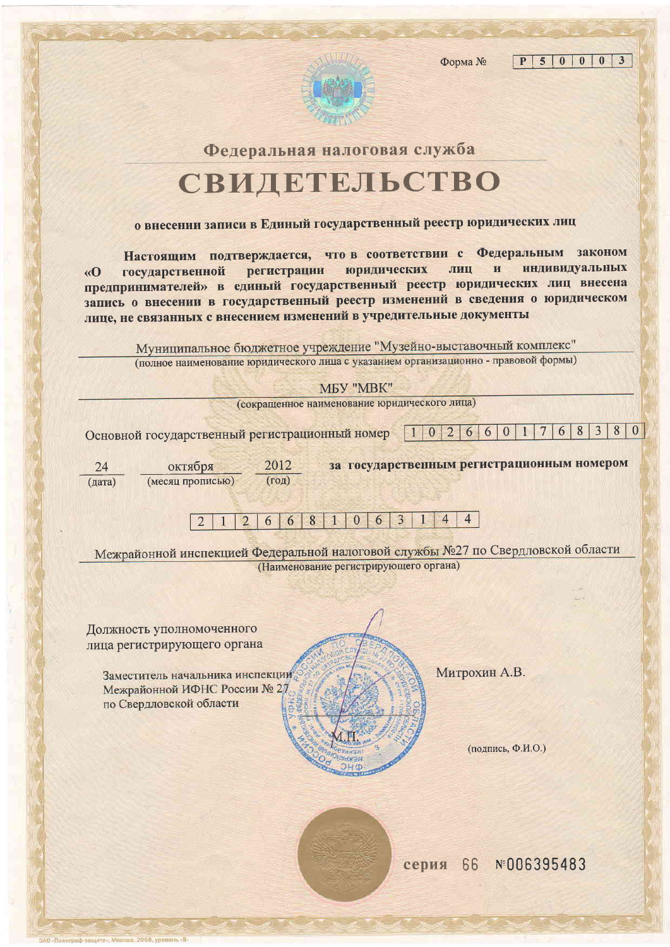$\Phi$ орма №

## $P 5 0 0 0 3$

| Федеральная налоговая служба                                                                                                                                                                                                                                                                                                                                                                                    |
|-----------------------------------------------------------------------------------------------------------------------------------------------------------------------------------------------------------------------------------------------------------------------------------------------------------------------------------------------------------------------------------------------------------------|
| СВИДЕТЕЛЬСТВО                                                                                                                                                                                                                                                                                                                                                                                                   |
| о внесении записи в Единый государственный реестр юридических лиц                                                                                                                                                                                                                                                                                                                                               |
| Настоящим подтверждается, что в соответствии с Федеральным<br>законом<br>индивидуальных<br>юридических<br>и<br>регистрации<br>ЛИЦ<br>государственной<br>$\langle \langle$ O<br>предпринимателей» в единый государственный реестр юридических лиц внесена<br>запись о внесении в государственный реестр изменений в сведения о юридическом<br>лице, не связанных с внесением изменений в учредительные документы |
| Муниципальное бюджетное учреждение "Музейно-выставочный комплекс"                                                                                                                                                                                                                                                                                                                                               |
| (полное наименование юридического лица с указанием организационно - правовой формы)                                                                                                                                                                                                                                                                                                                             |
| MEY "MBK"                                                                                                                                                                                                                                                                                                                                                                                                       |
| (сокращенное наименование юридического лица)                                                                                                                                                                                                                                                                                                                                                                    |
| 6 <sup>1</sup><br>8<br>$\overline{3}$<br>8 <sup>1</sup><br>$\overline{0}$<br>$\overline{7}$<br>$\overline{2}$<br>$\mathbf{0}$<br>6<br>6<br>$\bf{0}$<br>Основной государственный регистрационный номер                                                                                                                                                                                                           |
| за государственным регистрационным номером<br>2012<br>24<br>октября<br>(год)<br>(месяц прописью)<br>(дата)<br>$\overline{3}$<br>8<br>$\overline{0}$<br>6<br>$\overline{2}$<br>6<br>6<br>Межрайонной инспекцией Федеральной налоговой службы №27 по Свердловской области<br>(Наименование регистрирующего органа)                                                                                                |
| Должность уполномоченного<br>лица регистрирующего органа<br>Митрохин А.В.<br>Заместитель начальника инспекции<br>Межрайонной ИФНС России № 27<br>по Свердловской области<br>(подпись, Ф.И.О.)                                                                                                                                                                                                                   |
| 66 Nº006395483<br>серия                                                                                                                                                                                                                                                                                                                                                                                         |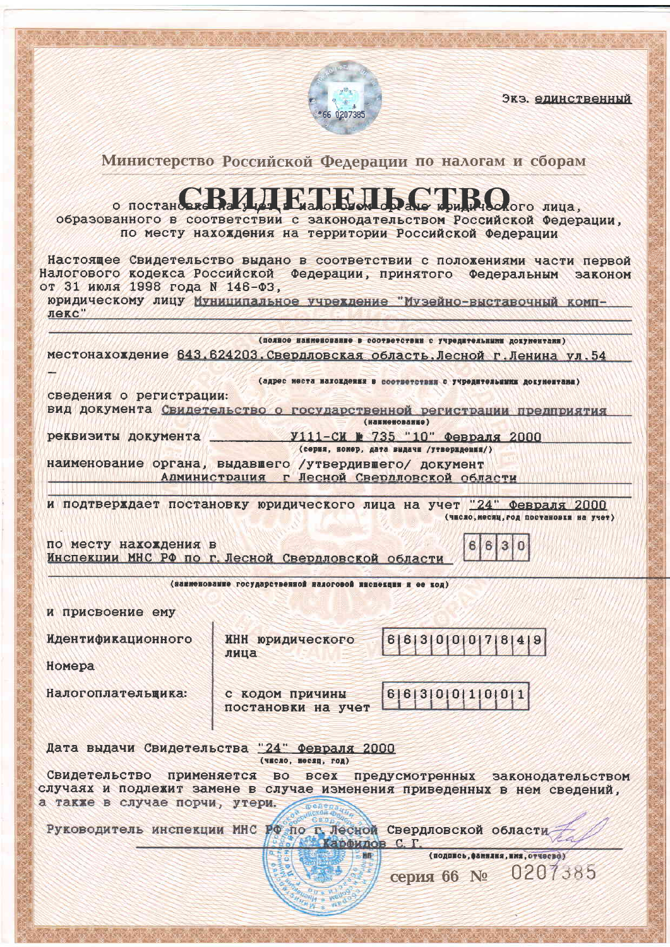Экэ. единственный

## Министерство Российской Федерации по налогам и сборам

## O NOCTAHLER BALLER BALLARD RACIO JAHRA

образованного в соответствии с законодательством Российской Федерации, по месту нахождения на территории Российской Федерации

Настоящее Свидетельство выдано в соответствии с положениями части первой Налогового кодекса Российской Федерации, принятого Федеральным законом от 31 июля 1998 года N 146-ФЗ,

юридическому лицу Муниципальное учреждение "Музейно-выставочный комплекс"

(полное наименование в соответствии с учредительными документами)

местонахождение 643.624203. Свердловская область. Лесной г. Ленина ул. 54

(адрес неста налождения в соответствии с учредительными документами)

сведения о регистрации: вид документа Свидетельство о государственной регистрации предприятия (накиенованке)

У111-СИ № 735 "10" Февраля 2000 реквизиты документа

(серия, номер, дата видачи /утверидения/)

наименование органа, выдавшего /утвердившего/ документ Администрация г Лесной Свердловской области

и подтверждает постановку юридического лица на учет "24" Февраля 2000 (число, несяц, год постановки на учет)

по месту нахождения в Инспекции МНС РФ по г. Лесной Свердловской области

6 6

| 3

(наименование государственной налоговой инспекции и ее код)

и присвоение ему

**Идентификационного** 6 6 7 0 0 0 0 7 8 4 9 ИНН юридического лица **Номера** Налогоплательника: с кодом причины 6 6 3 0 0 1 0 0 1 постановки на учет

Дата выдачи Свидетельства "24" Февраля 2000 (часло, несяц, год)

Свидетельство применяется во всех предусмотренных законодательством случаях и подлежит замене в случае изменения приведенных в нем сведений, а также в случае порчи, утери.

Руководитель инспекции МНС РФ по г Лесной Свердловской области Карфилов С. Г.

(подпись, фанилия, имя, отческо) 0207385 серия 66 №